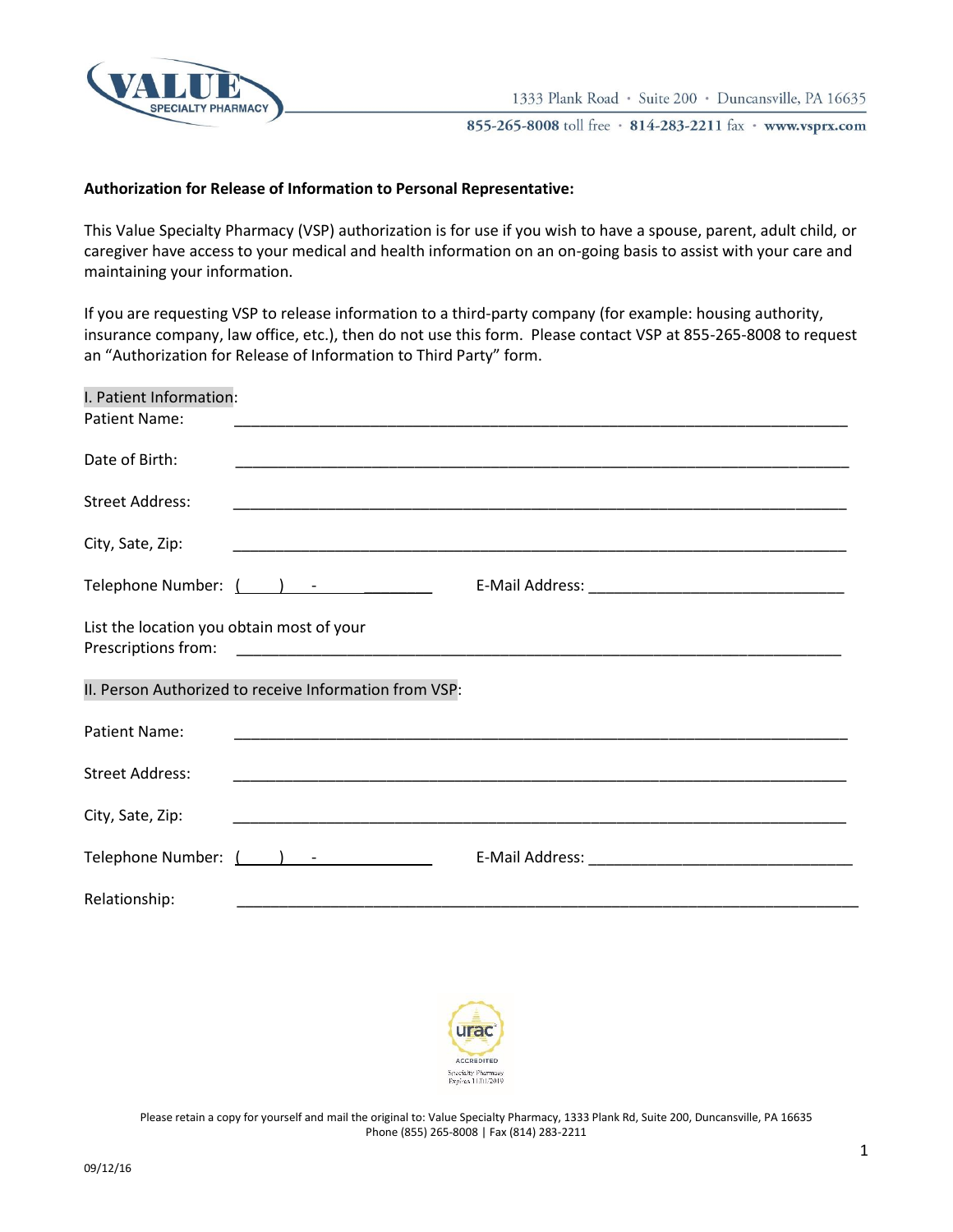

## **Authorization for Release of Information to Personal Representative:**

This Value Specialty Pharmacy (VSP) authorization is for use if you wish to have a spouse, parent, adult child, or caregiver have access to your medical and health information on an on-going basis to assist with your care and maintaining your information.

If you are requesting VSP to release information to a third-party company (for example: housing authority, insurance company, law office, etc.), then do not use this form. Please contact VSP at 855-265-8008 to request an "Authorization for Release of Information to Third Party" form.

| I. Patient Information:<br>Patient Name:  |                                                                                                                                                                                                                                |
|-------------------------------------------|--------------------------------------------------------------------------------------------------------------------------------------------------------------------------------------------------------------------------------|
| Date of Birth:                            |                                                                                                                                                                                                                                |
| <b>Street Address:</b>                    |                                                                                                                                                                                                                                |
| City, Sate, Zip:                          |                                                                                                                                                                                                                                |
|                                           |                                                                                                                                                                                                                                |
| List the location you obtain most of your |                                                                                                                                                                                                                                |
|                                           | II. Person Authorized to receive Information from VSP:                                                                                                                                                                         |
| Patient Name:                             |                                                                                                                                                                                                                                |
| <b>Street Address:</b>                    |                                                                                                                                                                                                                                |
| City, Sate, Zip:                          |                                                                                                                                                                                                                                |
|                                           | Telephone Number: ( ) - Telephone Number: ( ) - Telephone Number: ( ) and the set of the set of the set of the set of the set of the set of the set of the set of the set of the set of the set of the set of the set of the s |
| Relationship:                             |                                                                                                                                                                                                                                |



Please retain a copy for yourself and mail the original to: Value Specialty Pharmacy, 1333 Plank Rd, Suite 200, Duncansville, PA 16635 Phone (855) 265-8008 | Fax (814) 283-2211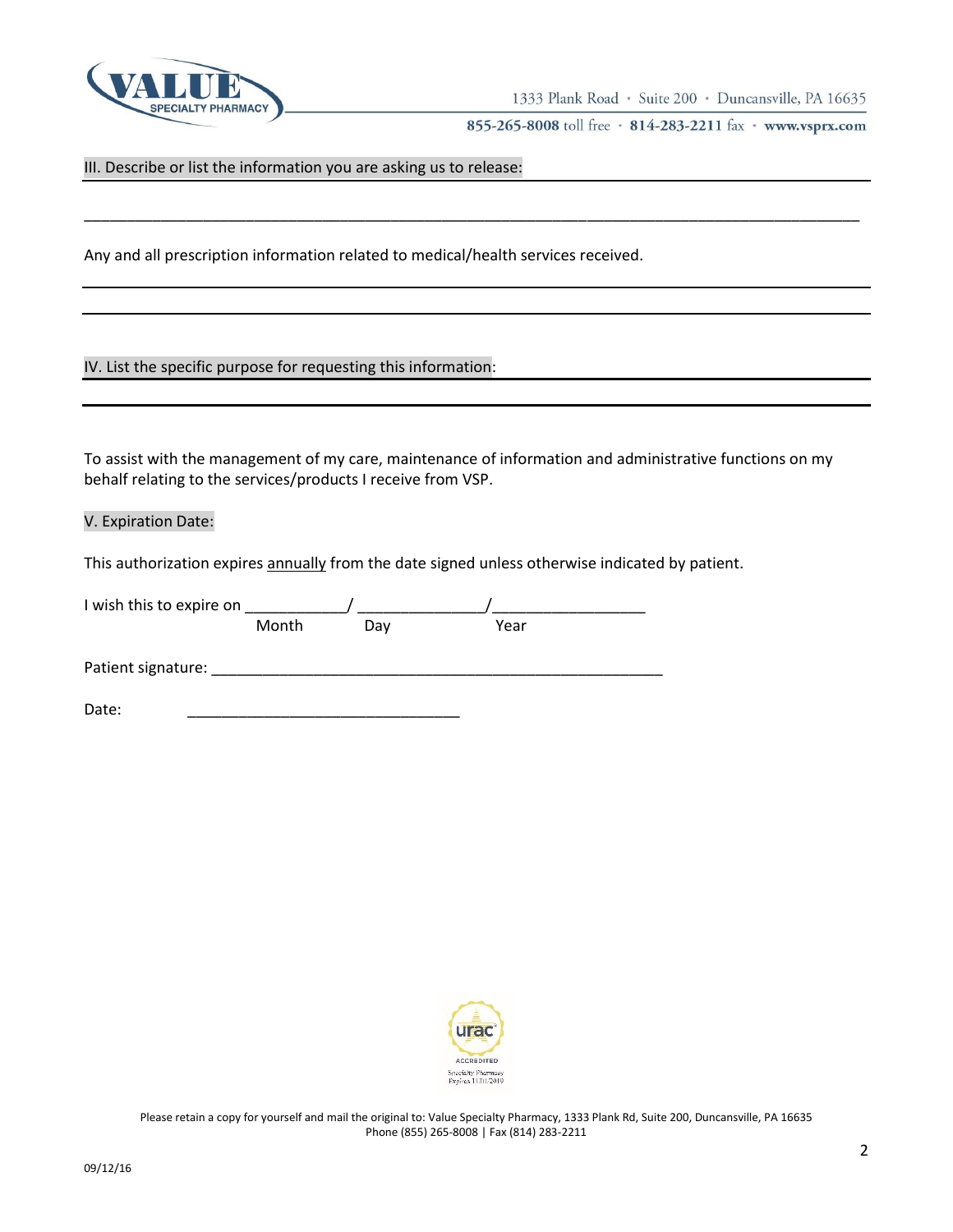

III. Describe or list the information you are asking us to release:

Any and all prescription information related to medical/health services received.

IV. List the specific purpose for requesting this information:

To assist with the management of my care, maintenance of information and administrative functions on my behalf relating to the services/products I receive from VSP.

\_\_\_\_\_\_\_\_\_\_\_\_\_\_\_\_\_\_\_\_\_\_\_\_\_\_\_\_\_\_\_\_\_\_\_\_\_\_\_\_\_\_\_\_\_\_\_\_\_\_\_\_\_\_\_\_\_\_\_\_\_\_\_\_\_\_\_\_\_\_\_\_\_\_\_\_\_\_\_\_\_\_\_\_\_\_\_\_\_\_\_

V. Expiration Date:

This authorization expires annually from the date signed unless otherwise indicated by patient.

| I wish this to expire on |       |     |      |
|--------------------------|-------|-----|------|
|                          | Month | Dav | Year |
| Patient signature:       |       |     |      |
| Date:                    |       |     |      |

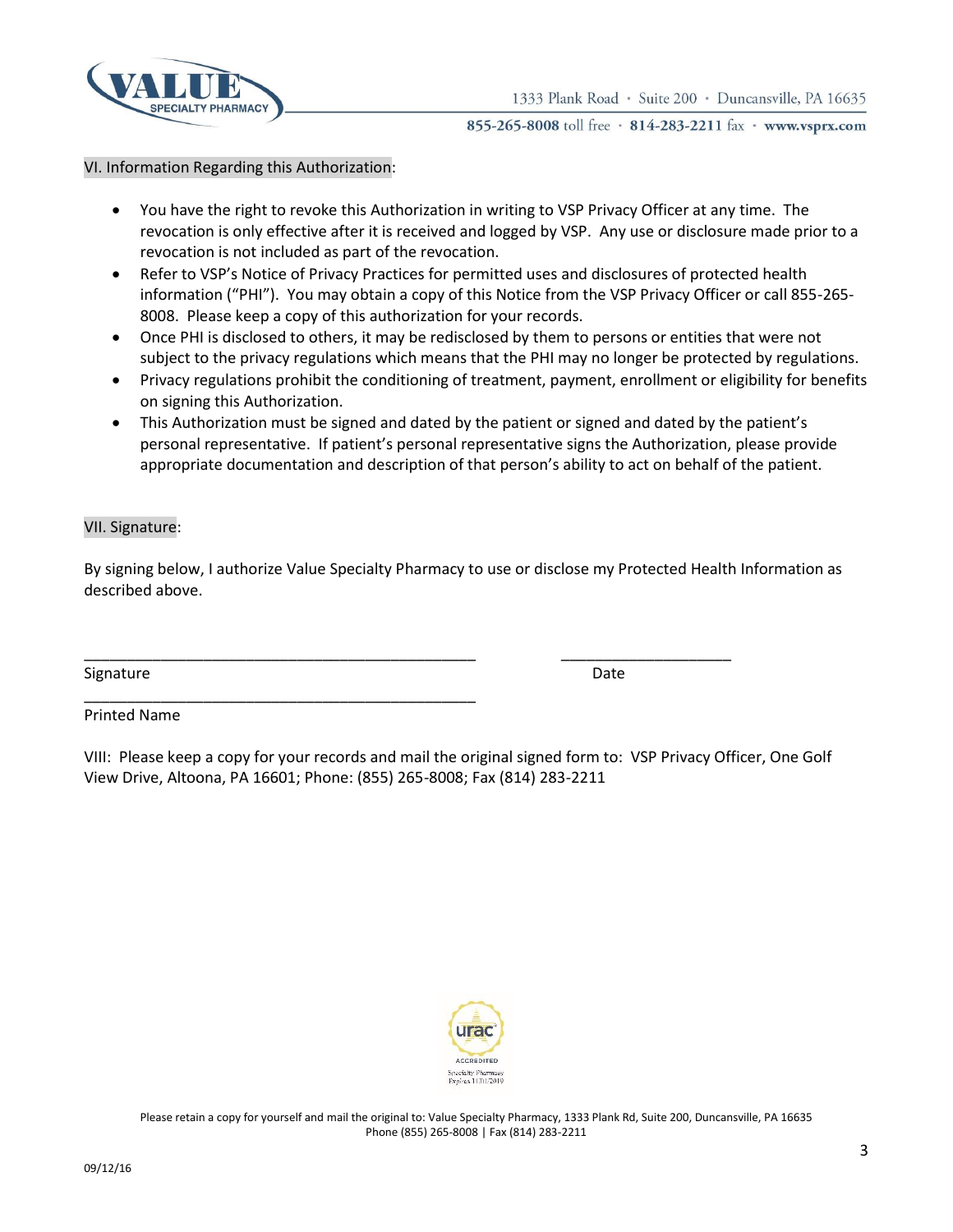

## VI. Information Regarding this Authorization:

- You have the right to revoke this Authorization in writing to VSP Privacy Officer at any time. The revocation is only effective after it is received and logged by VSP. Any use or disclosure made prior to a revocation is not included as part of the revocation.
- Refer to VSP's Notice of Privacy Practices for permitted uses and disclosures of protected health information ("PHI"). You may obtain a copy of this Notice from the VSP Privacy Officer or call 855-265- 8008. Please keep a copy of this authorization for your records.
- Once PHI is disclosed to others, it may be redisclosed by them to persons or entities that were not subject to the privacy regulations which means that the PHI may no longer be protected by regulations.
- Privacy regulations prohibit the conditioning of treatment, payment, enrollment or eligibility for benefits on signing this Authorization.
- This Authorization must be signed and dated by the patient or signed and dated by the patient's personal representative. If patient's personal representative signs the Authorization, please provide appropriate documentation and description of that person's ability to act on behalf of the patient.

## VII. Signature:

By signing below, I authorize Value Specialty Pharmacy to use or disclose my Protected Health Information as described above.

\_\_\_\_\_\_\_\_\_\_\_\_\_\_\_\_\_\_\_\_\_\_\_\_\_\_\_\_\_\_\_\_\_\_\_\_\_\_\_\_\_\_\_\_\_\_ \_\_\_\_\_\_\_\_\_\_\_\_\_\_\_\_\_\_\_\_

\_\_\_\_\_\_\_\_\_\_\_\_\_\_\_\_\_\_\_\_\_\_\_\_\_\_\_\_\_\_\_\_\_\_\_\_\_\_\_\_\_\_\_\_\_\_

Signature Date Date of the Date of the Date of the Date of the Date of the Date of the Date of the Date of the Date of the Date of the Date of the Date of the Date of the Date of the Date of the Date of the Date of the Dat

Printed Name

VIII: Please keep a copy for your records and mail the original signed form to: VSP Privacy Officer, One Golf View Drive, Altoona, PA 16601; Phone: (855) 265-8008; Fax (814) 283-2211